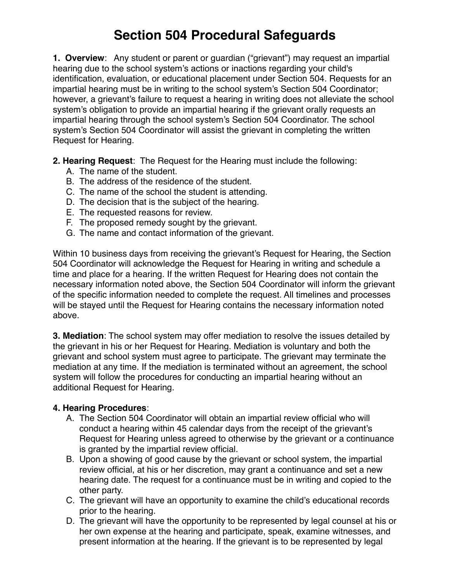## **Section 504 Procedural Safeguards**

**1. Overview**: Any student or parent or guardian ("grievant") may request an impartial hearing due to the school system's actions or inactions regarding your child's identification, evaluation, or educational placement under Section 504. Requests for an impartial hearing must be in writing to the school system's Section 504 Coordinator; however, a grievant's failure to request a hearing in writing does not alleviate the school system's obligation to provide an impartial hearing if the grievant orally requests an impartial hearing through the school system's Section 504 Coordinator. The school system's Section 504 Coordinator will assist the grievant in completing the written Request for Hearing.

- **2. Hearing Request**: The Request for the Hearing must include the following:
	- A. The name of the student.
	- B. The address of the residence of the student.
	- C. The name of the school the student is attending.
	- D. The decision that is the subject of the hearing.
	- E. The requested reasons for review.
	- F. The proposed remedy sought by the grievant.
	- G. The name and contact information of the grievant.

Within 10 business days from receiving the grievant's Request for Hearing, the Section 504 Coordinator will acknowledge the Request for Hearing in writing and schedule a time and place for a hearing. If the written Request for Hearing does not contain the necessary information noted above, the Section 504 Coordinator will inform the grievant of the specific information needed to complete the request. All timelines and processes will be stayed until the Request for Hearing contains the necessary information noted above.

**3. Mediation**: The school system may offer mediation to resolve the issues detailed by the grievant in his or her Request for Hearing. Mediation is voluntary and both the grievant and school system must agree to participate. The grievant may terminate the mediation at any time. If the mediation is terminated without an agreement, the school system will follow the procedures for conducting an impartial hearing without an additional Request for Hearing.

## **4. Hearing Procedures**:

- A. The Section 504 Coordinator will obtain an impartial review official who will conduct a hearing within 45 calendar days from the receipt of the grievant's Request for Hearing unless agreed to otherwise by the grievant or a continuance is granted by the impartial review official.
- B. Upon a showing of good cause by the grievant or school system, the impartial review official, at his or her discretion, may grant a continuance and set a new hearing date. The request for a continuance must be in writing and copied to the other party.
- C. The grievant will have an opportunity to examine the child's educational records prior to the hearing.
- D. The grievant will have the opportunity to be represented by legal counsel at his or her own expense at the hearing and participate, speak, examine witnesses, and present information at the hearing. If the grievant is to be represented by legal